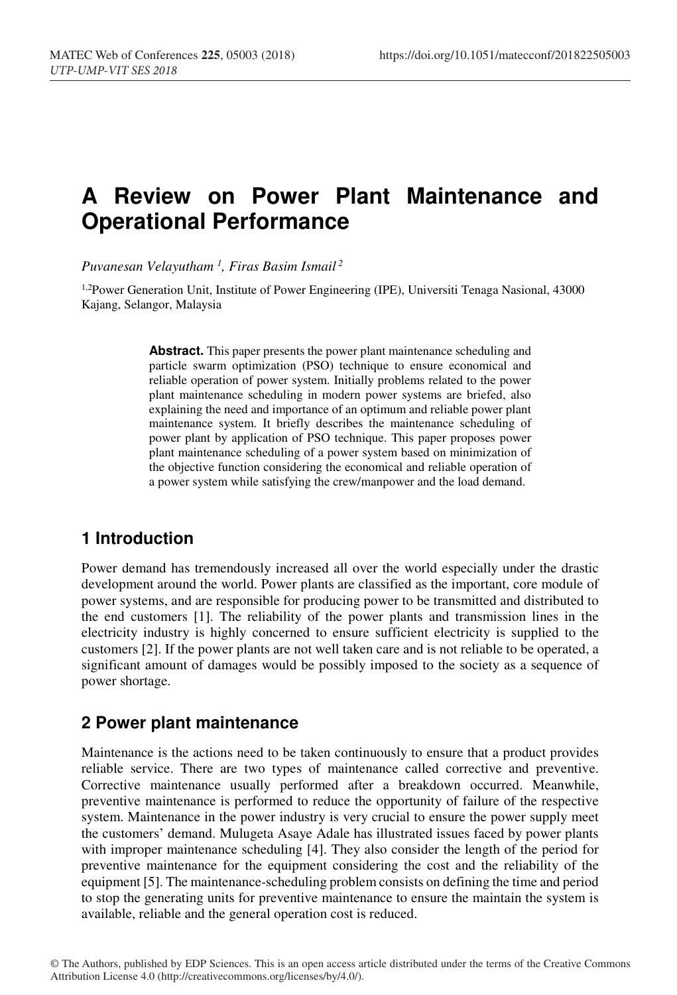# **A Review on Power Plant Maintenance and Operational Performance**

*Puvanesan Velayutham 1 , Firas Basim Ismail 2*

1,2Power Generation Unit, Institute of Power Engineering (IPE), Universiti Tenaga Nasional, 43000 Kajang, Selangor, Malaysia

> **Abstract.** This paper presents the power plant maintenance scheduling and particle swarm optimization (PSO) technique to ensure economical and reliable operation of power system. Initially problems related to the power plant maintenance scheduling in modern power systems are briefed, also explaining the need and importance of an optimum and reliable power plant maintenance system. It briefly describes the maintenance scheduling of power plant by application of PSO technique. This paper proposes power plant maintenance scheduling of a power system based on minimization of the objective function considering the economical and reliable operation of a power system while satisfying the crew/manpower and the load demand.

# **1 Introduction**

Power demand has tremendously increased all over the world especially under the drastic development around the world. Power plants are classified as the important, core module of power systems, and are responsible for producing power to be transmitted and distributed to the end customers [1]. The reliability of the power plants and transmission lines in the electricity industry is highly concerned to ensure sufficient electricity is supplied to the customers [2]. If the power plants are not well taken care and is not reliable to be operated, a significant amount of damages would be possibly imposed to the society as a sequence of power shortage.

### **2 Power plant maintenance**

Maintenance is the actions need to be taken continuously to ensure that a product provides reliable service. There are two types of maintenance called corrective and preventive. Corrective maintenance usually performed after a breakdown occurred. Meanwhile, preventive maintenance is performed to reduce the opportunity of failure of the respective system. Maintenance in the power industry is very crucial to ensure the power supply meet the customers' demand. Mulugeta Asaye Adale has illustrated issues faced by power plants with improper maintenance scheduling [4]. They also consider the length of the period for preventive maintenance for the equipment considering the cost and the reliability of the equipment [5]. The maintenance-scheduling problem consists on defining the time and period to stop the generating units for preventive maintenance to ensure the maintain the system is available, reliable and the general operation cost is reduced.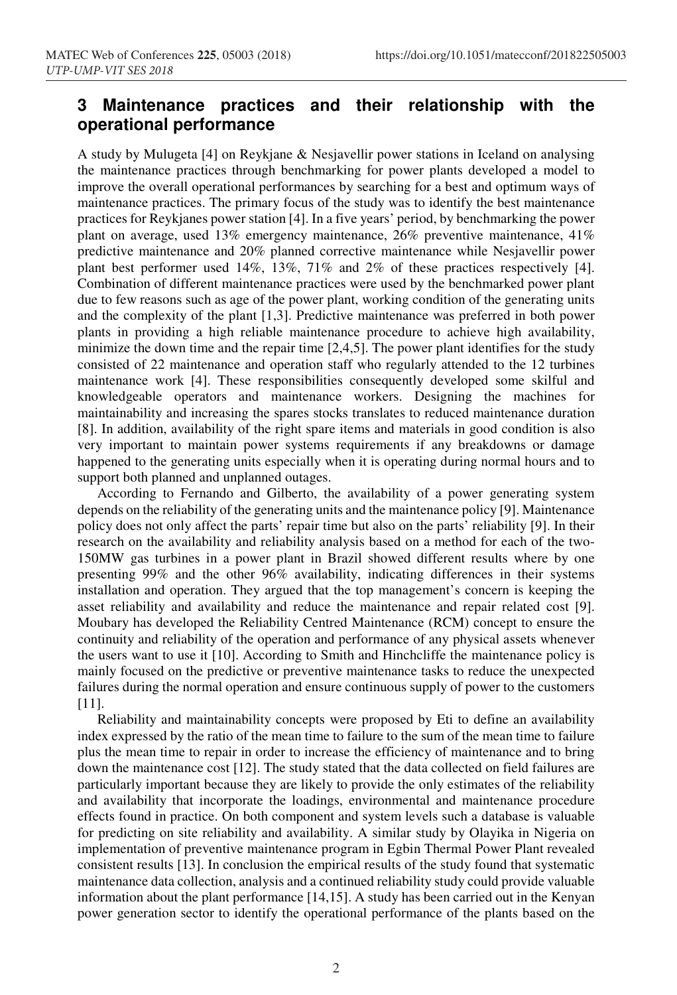# **3 Maintenance practices and their relationship with the operational performance**

A study by Mulugeta [4] on Reykjane & Nesjavellir power stations in Iceland on analysing the maintenance practices through benchmarking for power plants developed a model to improve the overall operational performances by searching for a best and optimum ways of maintenance practices. The primary focus of the study was to identify the best maintenance practices for Reykjanes power station [4]. In a five years' period, by benchmarking the power plant on average, used 13% emergency maintenance, 26% preventive maintenance, 41% predictive maintenance and 20% planned corrective maintenance while Nesjavellir power plant best performer used 14%, 13%, 71% and 2% of these practices respectively [4]. Combination of different maintenance practices were used by the benchmarked power plant due to few reasons such as age of the power plant, working condition of the generating units and the complexity of the plant [1,3]. Predictive maintenance was preferred in both power plants in providing a high reliable maintenance procedure to achieve high availability, minimize the down time and the repair time [2,4,5]. The power plant identifies for the study consisted of 22 maintenance and operation staff who regularly attended to the 12 turbines maintenance work [4]. These responsibilities consequently developed some skilful and knowledgeable operators and maintenance workers. Designing the machines for maintainability and increasing the spares stocks translates to reduced maintenance duration [8]. In addition, availability of the right spare items and materials in good condition is also very important to maintain power systems requirements if any breakdowns or damage happened to the generating units especially when it is operating during normal hours and to support both planned and unplanned outages.

According to Fernando and Gilberto, the availability of a power generating system depends on the reliability of the generating units and the maintenance policy [9]. Maintenance policy does not only affect the parts' repair time but also on the parts' reliability [9]. In their research on the availability and reliability analysis based on a method for each of the two-150MW gas turbines in a power plant in Brazil showed different results where by one presenting 99% and the other 96% availability, indicating differences in their systems installation and operation. They argued that the top management's concern is keeping the asset reliability and availability and reduce the maintenance and repair related cost [9]. Moubary has developed the Reliability Centred Maintenance (RCM) concept to ensure the continuity and reliability of the operation and performance of any physical assets whenever the users want to use it [10]. According to Smith and Hinchcliffe the maintenance policy is mainly focused on the predictive or preventive maintenance tasks to reduce the unexpected failures during the normal operation and ensure continuous supply of power to the customers [11].

Reliability and maintainability concepts were proposed by Eti to define an availability index expressed by the ratio of the mean time to failure to the sum of the mean time to failure plus the mean time to repair in order to increase the efficiency of maintenance and to bring down the maintenance cost [12]. The study stated that the data collected on field failures are particularly important because they are likely to provide the only estimates of the reliability and availability that incorporate the loadings, environmental and maintenance procedure effects found in practice. On both component and system levels such a database is valuable for predicting on site reliability and availability. A similar study by Olayika in Nigeria on implementation of preventive maintenance program in Egbin Thermal Power Plant revealed consistent results [13]. In conclusion the empirical results of the study found that systematic maintenance data collection, analysis and a continued reliability study could provide valuable information about the plant performance [14,15]. A study has been carried out in the Kenyan power generation sector to identify the operational performance of the plants based on the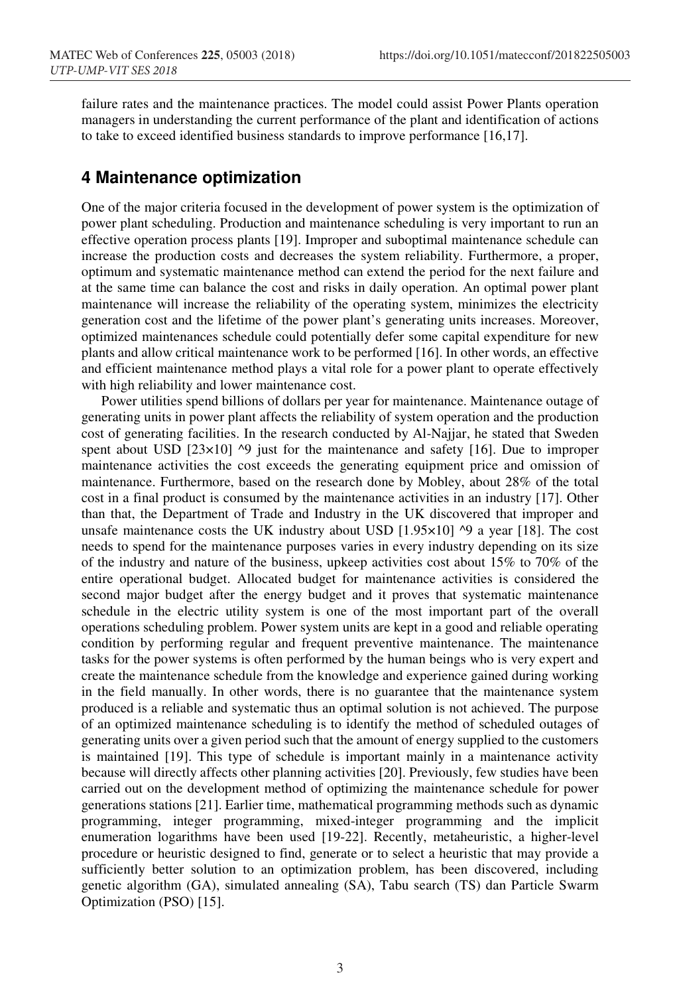failure rates and the maintenance practices. The model could assist Power Plants operation managers in understanding the current performance of the plant and identification of actions to take to exceed identified business standards to improve performance [16,17].

#### **4 Maintenance optimization**

One of the major criteria focused in the development of power system is the optimization of power plant scheduling. Production and maintenance scheduling is very important to run an effective operation process plants [19]. Improper and suboptimal maintenance schedule can increase the production costs and decreases the system reliability. Furthermore, a proper, optimum and systematic maintenance method can extend the period for the next failure and at the same time can balance the cost and risks in daily operation. An optimal power plant maintenance will increase the reliability of the operating system, minimizes the electricity generation cost and the lifetime of the power plant's generating units increases. Moreover, optimized maintenances schedule could potentially defer some capital expenditure for new plants and allow critical maintenance work to be performed [16]. In other words, an effective and efficient maintenance method plays a vital role for a power plant to operate effectively with high reliability and lower maintenance cost.

Power utilities spend billions of dollars per year for maintenance. Maintenance outage of generating units in power plant affects the reliability of system operation and the production cost of generating facilities. In the research conducted by Al-Najjar, he stated that Sweden spent about USD  $[23\times10]$  ^9 just for the maintenance and safety [16]. Due to improper maintenance activities the cost exceeds the generating equipment price and omission of maintenance. Furthermore, based on the research done by Mobley, about 28% of the total cost in a final product is consumed by the maintenance activities in an industry [17]. Other than that, the Department of Trade and Industry in the UK discovered that improper and unsafe maintenance costs the UK industry about USD  $[1.95 \times 10]$  <sup> $\circ$ </sup> a year  $[18]$ . The cost needs to spend for the maintenance purposes varies in every industry depending on its size of the industry and nature of the business, upkeep activities cost about 15% to 70% of the entire operational budget. Allocated budget for maintenance activities is considered the second major budget after the energy budget and it proves that systematic maintenance schedule in the electric utility system is one of the most important part of the overall operations scheduling problem. Power system units are kept in a good and reliable operating condition by performing regular and frequent preventive maintenance. The maintenance tasks for the power systems is often performed by the human beings who is very expert and create the maintenance schedule from the knowledge and experience gained during working in the field manually. In other words, there is no guarantee that the maintenance system produced is a reliable and systematic thus an optimal solution is not achieved. The purpose of an optimized maintenance scheduling is to identify the method of scheduled outages of generating units over a given period such that the amount of energy supplied to the customers is maintained [19]. This type of schedule is important mainly in a maintenance activity because will directly affects other planning activities [20]. Previously, few studies have been carried out on the development method of optimizing the maintenance schedule for power generations stations [21]. Earlier time, mathematical programming methods such as dynamic programming, integer programming, mixed-integer programming and the implicit enumeration logarithms have been used [19-22]. Recently, metaheuristic, a higher-level procedure or heuristic designed to find, generate or to select a heuristic that may provide a sufficiently better solution to an optimization problem, has been discovered, including genetic algorithm (GA), simulated annealing (SA), Tabu search (TS) dan Particle Swarm Optimization (PSO) [15].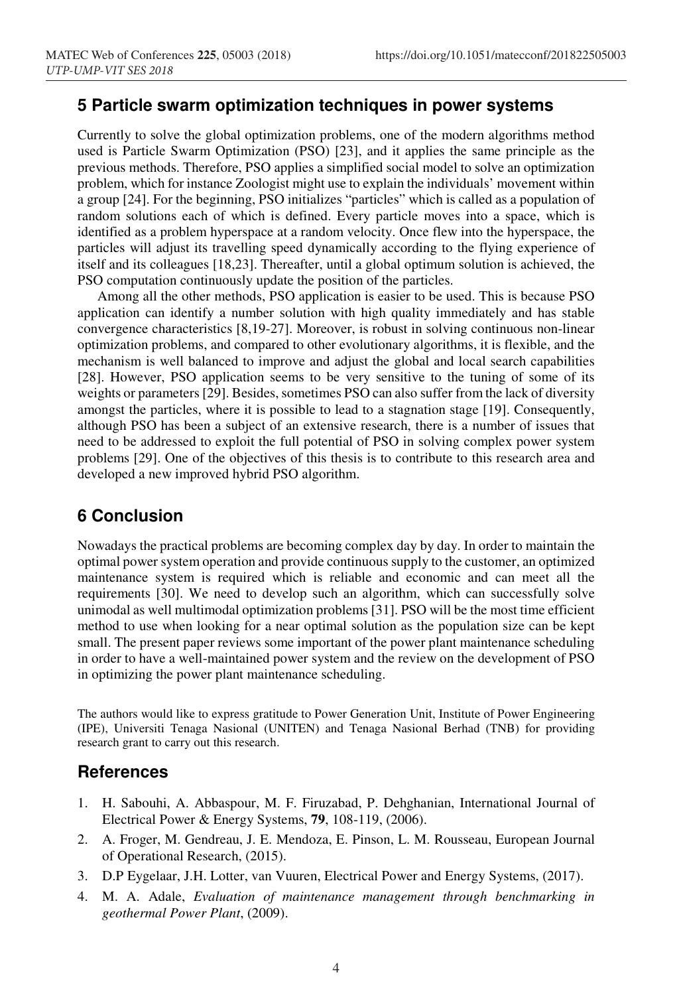#### **5 Particle swarm optimization techniques in power systems**

Currently to solve the global optimization problems, one of the modern algorithms method used is Particle Swarm Optimization (PSO) [23], and it applies the same principle as the previous methods. Therefore, PSO applies a simplified social model to solve an optimization problem, which for instance Zoologist might use to explain the individuals' movement within a group [24]. For the beginning, PSO initializes "particles" which is called as a population of random solutions each of which is defined. Every particle moves into a space, which is identified as a problem hyperspace at a random velocity. Once flew into the hyperspace, the particles will adjust its travelling speed dynamically according to the flying experience of itself and its colleagues [18,23]. Thereafter, until a global optimum solution is achieved, the PSO computation continuously update the position of the particles.

Among all the other methods, PSO application is easier to be used. This is because PSO application can identify a number solution with high quality immediately and has stable convergence characteristics [8,19-27]. Moreover, is robust in solving continuous non-linear optimization problems, and compared to other evolutionary algorithms, it is flexible, and the mechanism is well balanced to improve and adjust the global and local search capabilities [28]. However, PSO application seems to be very sensitive to the tuning of some of its weights or parameters [29]. Besides, sometimes PSO can also suffer from the lack of diversity amongst the particles, where it is possible to lead to a stagnation stage [19]. Consequently, although PSO has been a subject of an extensive research, there is a number of issues that need to be addressed to exploit the full potential of PSO in solving complex power system problems [29]. One of the objectives of this thesis is to contribute to this research area and developed a new improved hybrid PSO algorithm.

## **6 Conclusion**

Nowadays the practical problems are becoming complex day by day. In order to maintain the optimal power system operation and provide continuous supply to the customer, an optimized maintenance system is required which is reliable and economic and can meet all the requirements [30]. We need to develop such an algorithm, which can successfully solve unimodal as well multimodal optimization problems [31]. PSO will be the most time efficient method to use when looking for a near optimal solution as the population size can be kept small. The present paper reviews some important of the power plant maintenance scheduling in order to have a well-maintained power system and the review on the development of PSO in optimizing the power plant maintenance scheduling.

The authors would like to express gratitude to Power Generation Unit, Institute of Power Engineering (IPE), Universiti Tenaga Nasional (UNITEN) and Tenaga Nasional Berhad (TNB) for providing research grant to carry out this research.

#### **References**

- 1. H. Sabouhi, A. Abbaspour, M. F. Firuzabad, P. Dehghanian, International Journal of Electrical Power & Energy Systems, **79**, 108-119, (2006).
- 2. A. Froger, M. Gendreau, J. E. Mendoza, E. Pinson, L. M. Rousseau, European Journal of Operational Research, (2015).
- 3. D.P Eygelaar, J.H. Lotter, van Vuuren, Electrical Power and Energy Systems, (2017).
- 4. M. A. Adale, *Evaluation of maintenance management through benchmarking in geothermal Power Plant*, (2009).